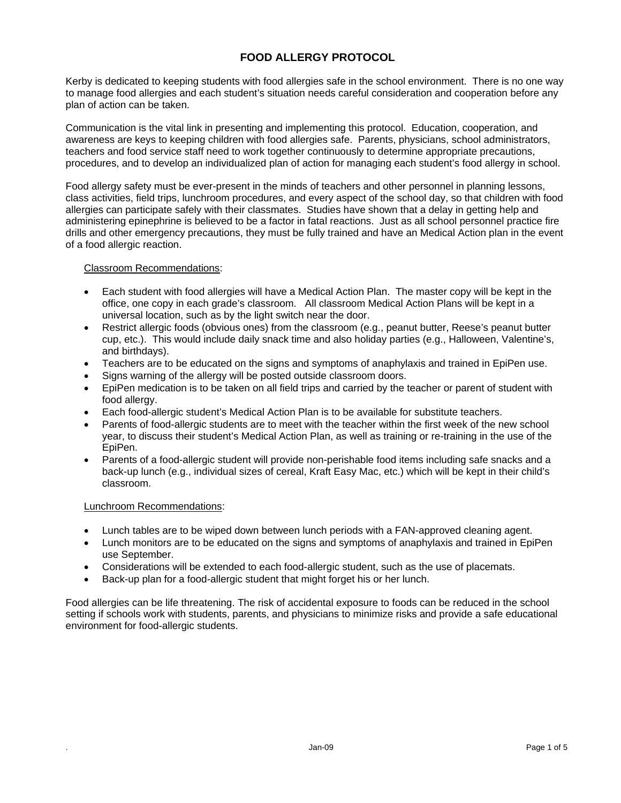# **FOOD ALLERGY PROTOCOL**

Kerby is dedicated to keeping students with food allergies safe in the school environment. There is no one way to manage food allergies and each student's situation needs careful consideration and cooperation before any plan of action can be taken.

Communication is the vital link in presenting and implementing this protocol. Education, cooperation, and awareness are keys to keeping children with food allergies safe. Parents, physicians, school administrators, teachers and food service staff need to work together continuously to determine appropriate precautions, procedures, and to develop an individualized plan of action for managing each student's food allergy in school.

Food allergy safety must be ever-present in the minds of teachers and other personnel in planning lessons, class activities, field trips, lunchroom procedures, and every aspect of the school day, so that children with food allergies can participate safely with their classmates. Studies have shown that a delay in getting help and administering epinephrine is believed to be a factor in fatal reactions. Just as all school personnel practice fire drills and other emergency precautions, they must be fully trained and have an Medical Action plan in the event of a food allergic reaction.

Classroom Recommendations:

- Each student with food allergies will have a Medical Action Plan. The master copy will be kept in the office, one copy in each grade's classroom. All classroom Medical Action Plans will be kept in a universal location, such as by the light switch near the door.
- Restrict allergic foods (obvious ones) from the classroom (e.g., peanut butter, Reese's peanut butter cup, etc.). This would include daily snack time and also holiday parties (e.g., Halloween, Valentine's, and birthdays).
- Teachers are to be educated on the signs and symptoms of anaphylaxis and trained in EpiPen use.
- Signs warning of the allergy will be posted outside classroom doors.
- EpiPen medication is to be taken on all field trips and carried by the teacher or parent of student with food allergy.
- Each food-allergic student's Medical Action Plan is to be available for substitute teachers.
- Parents of food-allergic students are to meet with the teacher within the first week of the new school year, to discuss their student's Medical Action Plan, as well as training or re-training in the use of the EpiPen.
- Parents of a food-allergic student will provide non-perishable food items including safe snacks and a back-up lunch (e.g., individual sizes of cereal, Kraft Easy Mac, etc.) which will be kept in their child's classroom.

#### Lunchroom Recommendations:

- Lunch tables are to be wiped down between lunch periods with a FAN-approved cleaning agent.
- Lunch monitors are to be educated on the signs and symptoms of anaphylaxis and trained in EpiPen use September.
- Considerations will be extended to each food-allergic student, such as the use of placemats.
- Back-up plan for a food-allergic student that might forget his or her lunch.

Food allergies can be life threatening. The risk of accidental exposure to foods can be reduced in the school setting if schools work with students, parents, and physicians to minimize risks and provide a safe educational environment for food-allergic students.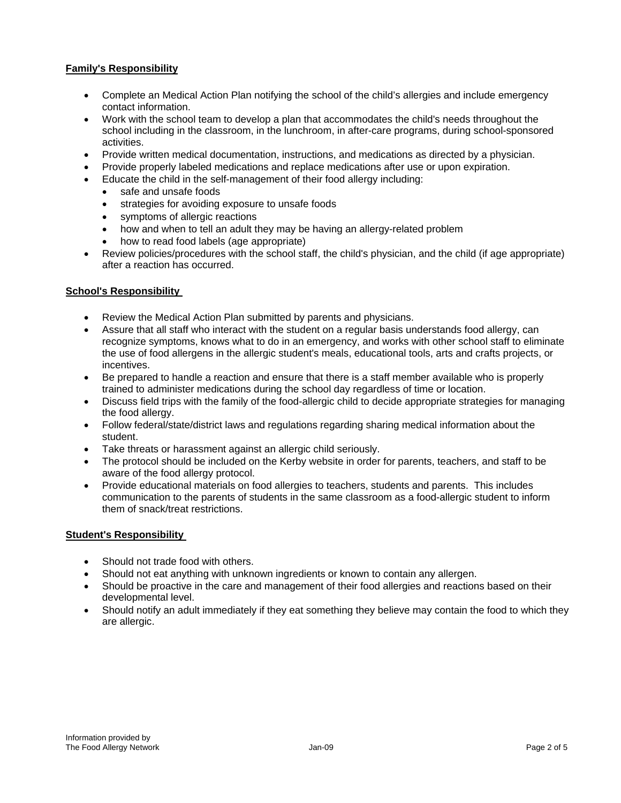# **Family's Responsibility**

- Complete an Medical Action Plan notifying the school of the child's allergies and include emergency contact information.
- Work with the school team to develop a plan that accommodates the child's needs throughout the school including in the classroom, in the lunchroom, in after-care programs, during school-sponsored activities.
- Provide written medical documentation, instructions, and medications as directed by a physician.
- Provide properly labeled medications and replace medications after use or upon expiration.
- Educate the child in the self-management of their food allergy including:
	- safe and unsafe foods
	- strategies for avoiding exposure to unsafe foods
	- symptoms of allergic reactions
	- how and when to tell an adult they may be having an allergy-related problem
	- how to read food labels (age appropriate)
- Review policies/procedures with the school staff, the child's physician, and the child (if age appropriate) after a reaction has occurred.

# **School's Responsibility**

- Review the Medical Action Plan submitted by parents and physicians.
- Assure that all staff who interact with the student on a regular basis understands food allergy, can recognize symptoms, knows what to do in an emergency, and works with other school staff to eliminate the use of food allergens in the allergic student's meals, educational tools, arts and crafts projects, or incentives.
- Be prepared to handle a reaction and ensure that there is a staff member available who is properly trained to administer medications during the school day regardless of time or location.
- Discuss field trips with the family of the food-allergic child to decide appropriate strategies for managing the food allergy.
- Follow federal/state/district laws and regulations regarding sharing medical information about the student.
- Take threats or harassment against an allergic child seriously.
- The protocol should be included on the Kerby website in order for parents, teachers, and staff to be aware of the food allergy protocol.
- Provide educational materials on food allergies to teachers, students and parents. This includes communication to the parents of students in the same classroom as a food-allergic student to inform them of snack/treat restrictions.

# **Student's Responsibility**

- Should not trade food with others.
- Should not eat anything with unknown ingredients or known to contain any allergen.
- Should be proactive in the care and management of their food allergies and reactions based on their developmental level.
- Should notify an adult immediately if they eat something they believe may contain the food to which they are allergic.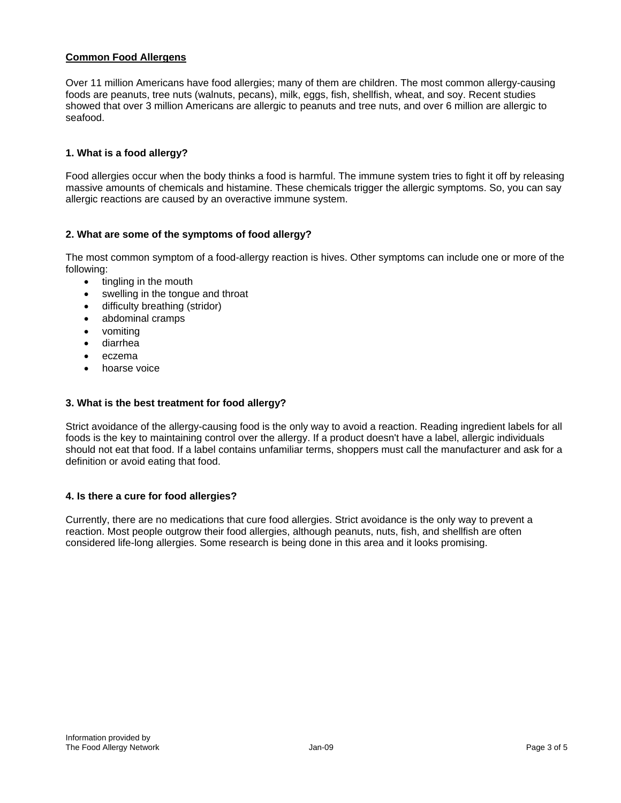## **Common Food Allergens**

Over 11 million Americans have food allergies; many of them are children. The most common allergy-causing foods are peanuts, tree nuts (walnuts, pecans), milk, eggs, fish, shellfish, wheat, and soy. Recent studies showed that over 3 million Americans are allergic to peanuts and tree nuts, and over 6 million are allergic to seafood.

# **1. What is a food allergy?**

Food allergies occur when the body thinks a food is harmful. The immune system tries to fight it off by releasing massive amounts of chemicals and histamine. These chemicals trigger the allergic symptoms. So, you can say allergic reactions are caused by an overactive immune system.

### **2. What are some of the symptoms of food allergy?**

The most common symptom of a food-allergy reaction is hives. Other symptoms can include one or more of the following:

- $\bullet$  tingling in the mouth
- swelling in the tongue and throat
- difficulty breathing (stridor)
- abdominal cramps
- vomiting
- diarrhea
- eczema
- hoarse voice

#### **3. What is the best treatment for food allergy?**

Strict avoidance of the allergy-causing food is the only way to avoid a reaction. Reading ingredient labels for all foods is the key to maintaining control over the allergy. If a product doesn't have a label, allergic individuals should not eat that food. If a label contains unfamiliar terms, shoppers must call the manufacturer and ask for a definition or avoid eating that food.

#### **4. Is there a cure for food allergies?**

Currently, there are no medications that cure food allergies. Strict avoidance is the only way to prevent a reaction. Most people outgrow their food allergies, although peanuts, nuts, fish, and shellfish are often considered life-long allergies. Some research is being done in this area and it looks promising.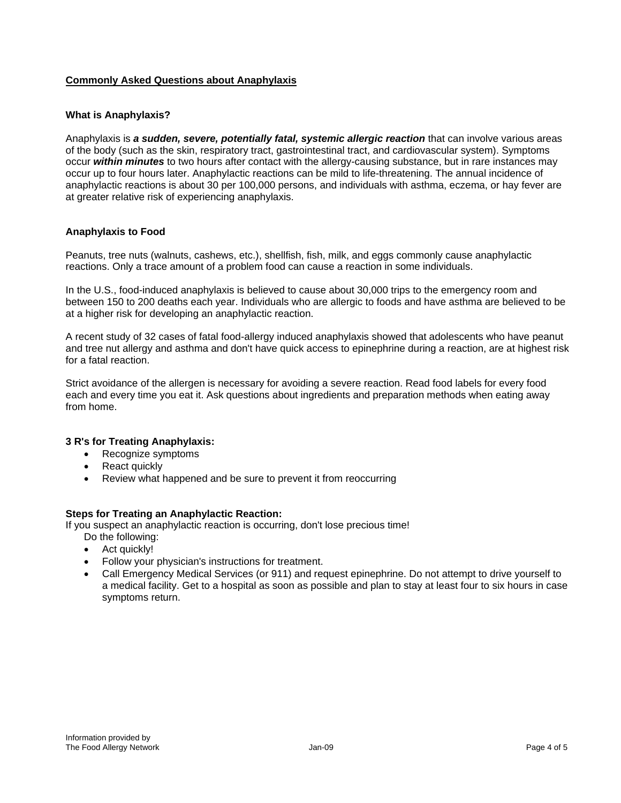# **Commonly Asked Questions about Anaphylaxis**

### **What is Anaphylaxis?**

Anaphylaxis is *a sudden, severe, potentially fatal, systemic allergic reaction* that can involve various areas of the body (such as the skin, respiratory tract, gastrointestinal tract, and cardiovascular system). Symptoms occur *within minutes* to two hours after contact with the allergy-causing substance, but in rare instances may occur up to four hours later. Anaphylactic reactions can be mild to life-threatening. The annual incidence of anaphylactic reactions is about 30 per 100,000 persons, and individuals with asthma, eczema, or hay fever are at greater relative risk of experiencing anaphylaxis.

### **Anaphylaxis to Food**

Peanuts, tree nuts (walnuts, cashews, etc.), shellfish, fish, milk, and eggs commonly cause anaphylactic reactions. Only a trace amount of a problem food can cause a reaction in some individuals.

In the U.S., food-induced anaphylaxis is believed to cause about 30,000 trips to the emergency room and between 150 to 200 deaths each year. Individuals who are allergic to foods and have asthma are believed to be at a higher risk for developing an anaphylactic reaction.

A recent study of 32 cases of fatal food-allergy induced anaphylaxis showed that adolescents who have peanut and tree nut allergy and asthma and don't have quick access to epinephrine during a reaction, are at highest risk for a fatal reaction.

Strict avoidance of the allergen is necessary for avoiding a severe reaction. Read food labels for every food each and every time you eat it. Ask questions about ingredients and preparation methods when eating away from home.

#### **3 R's for Treating Anaphylaxis:**

- Recognize symptoms
- React quickly
- Review what happened and be sure to prevent it from reoccurring

#### **Steps for Treating an Anaphylactic Reaction:**

If you suspect an anaphylactic reaction is occurring, don't lose precious time!

- Do the following:
- Act quickly!
- Follow your physician's instructions for treatment.
- Call Emergency Medical Services (or 911) and request epinephrine. Do not attempt to drive yourself to a medical facility. Get to a hospital as soon as possible and plan to stay at least four to six hours in case symptoms return.